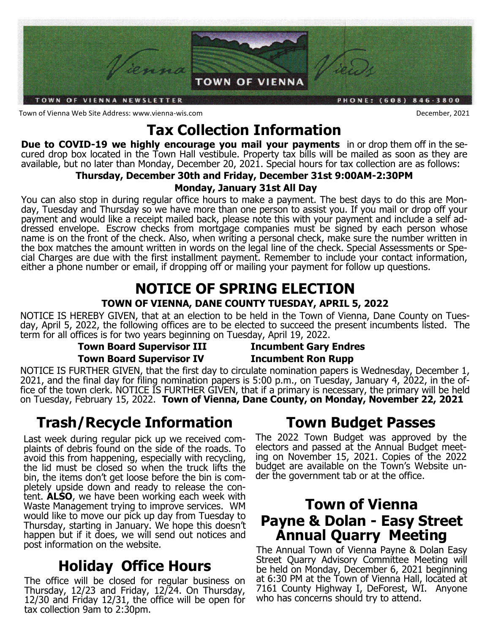

Town of Vienna Web Site Address: www.vienna-wis.com December, 2021

# **Tax Collection Information**

**Due to COVID-19 we highly encourage you mail your payments** in or drop them off in the secured drop box located in the Town Hall vestibule. Property tax bills will be mailed as soon as they are available, but no later than Monday, December 20, 2021. Special hours for tax collection are as follows:

### **Thursday, December 30th and Friday, December 31st 9:00AM-2:30PM**

### **Monday, January 31st All Day**

You can also stop in during regular office hours to make a payment. The best days to do this are Monday, Tuesday and Thursday so we have more than one person to assist you. If you mail or drop off your payment and would like a receipt mailed back, please note this with your payment and include a self addressed envelope. Escrow checks from mortgage companies must be signed by each person whose name is on the front of the check. Also, when writing a personal check, make sure the number written in the box matches the amount written in words on the legal line of the check. Special Assessments or Special Charges are due with the first installment payment. Remember to include your contact information, either a phone number or email, if dropping off or mailing your payment for follow up questions.

## **NOTICE OF SPRING ELECTION TOWN OF VIENNA, DANE COUNTY TUESDAY, APRIL 5, 2022**

NOTICE IS HEREBY GIVEN, that at an election to be held in the Town of Vienna, Dane County on Tuesday, April 5, 2022, the following offices are to be elected to succeed the present incumbents listed. The term for all offices is for two years beginning on Tuesday, April 19, 2022.

### **Town Board Supervisor III Incumbent Gary Endres Town Board Supervisor IV Incumbent Ron Rupp**

NOTICE IS FURTHER GIVEN, that the first day to circulate nomination papers is Wednesday, December 1, 2021, and the final day for filing nomination papers is 5:00 p.m., on Tuesday, January 4, 2022, in the office of the town clerk. NOTICE IS FURTHER GIVEN, that if a primary is necessary, the primary will be held on Tuesday, February 15, 2022. **Town of Vienna, Dane County, on Monday, November 22, 2021**

# **Trash/Recycle Information**

Last week during regular pick up we received complaints of debris found on the side of the roads. To avoid this from happening, especially with recycling, the lid must be closed so when the truck lifts the bin, the items don't get loose before the bin is completely upside down and ready to release the content. **ALSO**, we have been working each week with Waste Management trying to improve services. WM would like to move our pick up day from Tuesday to Thursday, starting in January. We hope this doesn't happen but if it does, we will send out notices and post information on the website.

# **Holiday Office Hours**

The office will be closed for regular business on Thursday, 12/23 and Friday, 12/24. On Thursday, 12/30 and Friday 12/31, the office will be open for tax collection 9am to 2:30pm.

# **Town Budget Passes**

The 2022 Town Budget was approved by the electors and passed at the Annual Budget meeting on November 15, 2021. Copies of the 2022 budget are available on the Town's Website under the government tab or at the office.

# **Town of Vienna Payne & Dolan - Easy Street Annual Quarry Meeting**

The Annual Town of Vienna Payne & Dolan Easy Street Quarry Advisory Committee Meeting will be held on Monday, December 6, 2021 beginning at 6:30 PM at the Town of Vienna Hall, located at 7161 County Highway I, DeForest, WI. Anyone who has concerns should try to attend.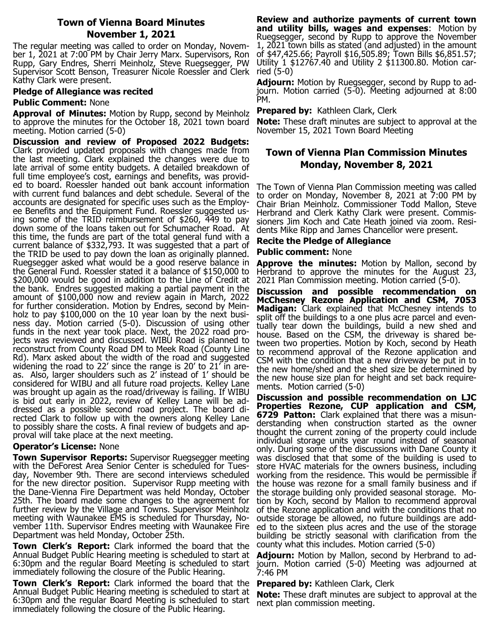#### **Town of Vienna Board Minutes November 1, 2021**

The regular meeting was called to order on Monday, November 1, 2021 at 7:00 PM by Chair Jerry Marx. Supervisors, Ron Rupp, Gary Endres, Sherri Meinholz, Steve Ruegsegger, PW Supervisor Scott Benson, Treasurer Nicole Roessler and Clerk ried (5-0) Kathy Clark were present.

#### **Pledge of Allegiance was recited**

#### **Public Comment:** None

**Approval of Minutes:** Motion by Rupp, second by Meinholz to approve the minutes for the October 18, 2021 town board meeting. Motion carried (5-0)

**Discussion and review of Proposed 2022 Budgets:**  Clark provided updated proposals with changes made from the last meeting. Clark explained the changes were due to late arrival of some entity budgets. A detailed breakdown of full time employee's cost, earnings and benefits, was provided to board. Roessler handed out bank account information with current fund balances and debt schedule. Several of the accounts are designated for specific uses such as the Employee Benefits and the Equipment Fund. Roessler suggested using some of the TRID reimbursement of \$260, 449 to pay down some of the loans taken out for Schumacher Road. At this time, the funds are part of the total general fund with a current balance of \$332,793. It was suggested that a part of the TRID be used to pay down the loan as originally planned. Ruegsegger asked what would be a good reserve balance in the General Fund. Roessler stated it a balance of \$150,000 to \$200,000 would be good in addition to the Line of Credit at the bank. Endres suggested making a partial payment in the amount of \$100,000 now and review again in March, 2022 for further consideration. Motion by Endres, second by Meinholz to pay \$100,000 on the 10 year loan by the next business day. Motion carried (5-0). Discussion of using other funds in the next year took place. Next, the 2022 road projects was reviewed and discussed. WIBU Road is planned to reconstruct from County Road DM to Meek Road (County Line Rd). Marx asked about the width of the road and suggested widening the road to 22' since the range is 20' to 21' in areas. Also, larger shoulders such as 2' instead of 1' should be considered for WIBU and all future road projects. Kelley Lane was brought up again as the road/driveway is failing. If WIBU is bid out early in 2022, review of Kelley Lane will be addressed as a possible second road project. The board directed Clark to follow up with the owners along Kelley Lane to possibly share the costs. A final review of budgets and approval will take place at the next meeting.

#### **Operator's License:** None

**Town Supervisor Reports:** Supervisor Ruegsegger meeting with the DeForest Area Senior Center is scheduled for Tuesday, November 9th. There are second interviews scheduled for the new director position. Supervisor Rupp meeting with the Dane-Vienna Fire Department was held Monday, October 25th. The board made some changes to the agreement for further review by the Village and Towns. Supervisor Meinholz meeting with Waunakee EMS is scheduled for Thursday, November 11th. Supervisor Endres meeting with Waunakee Fire Department was held Monday, October 25th.

**Town Clerk's Report:** Clark informed the board that the Annual Budget Public Hearing meeting is scheduled to start at 6:30pm and the regular Board Meeting is scheduled to start immediately following the closure of the Public Hearing.

**Town Clerk's Report:** Clark informed the board that the Annual Budget Public Hearing meeting is scheduled to start at 6:30pm and the regular Board Meeting is scheduled to start immediately following the closure of the Public Hearing.

**Review and authorize payments of current town and utility bills, wages and expenses**: Motion by Ruegsegger, second by Rupp to approve the November 1, 2021 town bills as stated (and adjusted) in the amount of \$47,425.66; Payroll \$16,505.89; Town Bills \$6,851.57; Utility 1 \$12767.40 and Utility 2 \$11300.80. Motion car-

**Adjourn:** Motion by Ruegsegger, second by Rupp to adjourn. Motion carried (5-0). Meeting adjourned at 8:00 PM.

### **Prepared by: Kathleen Clark, Clerk**

**Note:** These draft minutes are subject to approval at the November 15, 2021 Town Board Meeting

### **Town of Vienna Plan Commission Minutes Monday, November 8, 2021**

The Town of Vienna Plan Commission meeting was called to order on Monday, November 8, 2021 at 7:00 PM by Chair Brian Meinholz. Commissioner Todd Mallon, Steve Herbrand and Clerk Kathy Clark were present. Commissioners Jim Koch and Cate Heath joined via zoom. Residents Mike Ripp and James Chancellor were present.

#### **Recite the Pledge of Allegiance**

#### **Public comment:** None

**Approve the minutes:** Motion by Mallon, second by Herbrand to approve the minutes for the August 23, 2021 Plan Commission meeting. Motion carried (5-0).

**Discussion and possible recommendation on McChesney Rezone Application and CSM, 7053 Madigan:** Clark explained that McChesney intends to split off the buildings to a one plus acre parcel and eventually tear down the buildings, build a new shed and house. Based on the CSM, the driveway is shared between two properties. Motion by Koch, second by Heath to recommend approval of the Rezone application and CSM with the condition that a new driveway be put in to the new home/shed and the shed size be determined by the new house size plan for height and set back requirements. Motion carried (5-0)

**Discussion and possible recommendation on LJC Properties Rezone, CUP application and CSM, 6729 Patton:** Clark explained that there was a misunderstanding when construction started as the owner thought the current zoning of the property could include individual storage units year round instead of seasonal only. During some of the discussions with Dane County it was disclosed that that some of the building is used to store HVAC materials for the owners business, including working from the residence. This would be permissible if the house was rezone for a small family business and if the storage building only provided seasonal storage. Motion by Koch, second by Mallon to recommend approval of the Rezone application and with the conditions that no outside storage be allowed, no future buildings are added to the sixteen plus acres and the use of the storage building be strictly seasonal with clarification from the county what this includes. Motion carried (5-0)

**Adjourn:** Motion by Mallon, second by Herbrand to adjourn. Motion carried (5-0) Meeting was adjourned at 7:46 PM

**Prepared by:** Kathleen Clark, Clerk

**Note:** These draft minutes are subject to approval at the next plan commission meeting.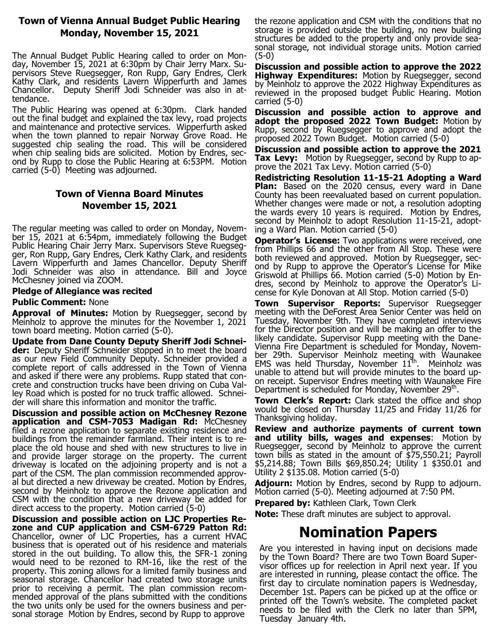#### **Town of Vienna Annual Budget Public Hearing Monday, November 15, 2021**

The Annual Budget Public Hearing called to order on Monday, November 15, 2021 at 6:30pm by Chair Jerry Marx. Supervisors Steve Ruegsegger, Ron Rupp, Gary Endres, Clerk Kathy Clark, and residents Lavern Wipperfurth and James Chancellor. Deputy Sheriff Jodi Schneider was also in attendance.

The Public Hearing was opened at 6:30pm. Clark handed out the final budget and explained the tax levy, road projects and maintenance and protective services. Wipperfurth asked when the town planned to repair Norway Grove Road. He suggested chip sealing the road. This will be considered when chip sealing bids are solicited. Motion by Endres, second by Rupp to close the Public Hearing at 6:53PM. Motion carried (5-0) Meeting was adjourned.

### **Town of Vienna Board Minutes November 15, 2021**

The regular meeting was called to order on Monday, November 15, 2021 at 6:54pm, immediately following the Budget Public Hearing Chair Jerry Marx. Supervisors Steve Ruegsegger, Ron Rupp, Gary Endres, Clerk Kathy Clark, and residents Lavern Wipperfurth and James Chancellor. Deputy Sheriff Jodi Schneider was also in attendance. Bill and Joyce McChesney joined via ZOOM.

#### **Pledge of Allegiance was recited**

#### **Public Comment:** None

**Approval of Minutes:** Motion by Ruegsegger, second by Meinholz to approve the minutes for the November 1, 2021 town board meeting. Motion carried (5-0).

**Update from Dane County Deputy Sheriff Jodi Schneider:** Deputy Sheriff Schneider stopped in to meet the board as our new Field Community Deputy. Schneider provided a complete report of calls addressed in the Town of Vienna and asked if there were any problems. Rupp stated that concrete and construction trucks have been driving on Cuba Valley Road which is posted for no truck traffic allowed. Schneider will share this information and monitor the traffic.

**Discussion and possible action on McChesney Rezone application and CSM-7053 Madigan Rd:** McChesney filed a rezone application to separate existing residence and buildings from the remainder farmland. Their intent is to replace the old house and shed with new structures to live in and provide larger storage on the property. The current driveway is located on the adjoining property and is not a part of the CSM. The plan commission recommended approval but directed a new driveway be created. Motion by Endres, second by Meinholz to approve the Rezone application and CSM with the condition that a new driveway be added for direct access to the property. Motion carried (5-0)

**Discussion and possible action on LJC Properties Rezone and CUP application and CSM-6729 Patton Rd:** Chancellor, owner of LJC Properties, has a current HVAC business that is operated out of his residence and materials stored in the out building. To allow this, the SFR-1 zoning would need to be rezoned to RM-16, like the rest of the property. This zoning allows for a limited family business and seasonal storage. Chancellor had created two storage units prior to receiving a permit. The plan commission recommended approval of the plans submitted with the conditions the two units only be used for the owners business and personal storage Motion by Endres, second by Rupp to approve

the rezone application and CSM with the conditions that no storage is provided outside the building, no new building structures be added to the property and only provide seasonal storage, not individual storage units. Motion carried (5-0)

**Discussion and possible action to approve the 2022 Highway Expenditures:** Motion by Ruegsegger, second by Meinholz to approve the 2022 Highway Expenditures as reviewed in the proposed budget Public Hearing. Motion carried (5-0)

**Discussion and possible action to approve and adopt the proposed 2022 Town Budget:** Motion by Rupp, second by Ruegsegger to approve and adopt the proposed 2022 Town Budget. Motion carried (5-0)

**Discussion and possible action to approve the 2021 Tax Levy:** Motion by Ruegsegger, second by Rupp to approve the 2021 Tax Levy. Motion carried (5-0)

**Redistricting Resolution 11-15-21 Adopting a Ward Plan:** Based on the 2020 census, every ward in Dane County has been reevaluated based on current population. Whether changes were made or not, a resolution adopting the wards every 10 years is required. Motion by Endres, second by Meinholz to adopt Resolution 11-15-21, adopting a Ward Plan. Motion carried (5-0)

**Operator's License:** Two applications were received, one from Phillips 66 and the other from All Stop. These were both reviewed and approved. Motion by Ruegsegger, second by Rupp to approve the Operator's License for Mike Griswold at Phillips 66. Motion carried (5-0) Motion by Endres, second by Meinholz to approve the Operator's License for Kyle Donovan at All Stop. Motion carried (5-0)

**Town Supervisor Reports:** Supervisor Ruegsegger meeting with the DeForest Area Senior Center was held on Tuesday, November 9th. They have completed interviews for the Director position and will be making an offer to the likely candidate. Supervisor Rupp meeting with the Dane-Vienna Fire Department is scheduled for Monday, November 29th. Supervisor Meinholz meeting with Waunakee EMS was held Thursday, November  $11<sup>th</sup>$ . Meinholz was unable to attend but will provide minutes to the board upon receipt. Supervisor Endres meeting with Waunakee Fire Department is scheduled for Monday, November 29<sup>th</sup>.

**Town Clerk's Report:** Clark stated the office and shop would be closed on Thursday 11/25 and Friday 11/26 for Thanksgiving holiday.

**Review and authorize payments of current town and utility bills, wages and expenses**: Motion by Ruegsegger, second by Meinholz to approve the current town bills as stated in the amount of \$75,550.21; Payroll \$5,214.88; Town Bills \$69,850.24; Utility 1 \$350.01 and Utility 2 \$135.08. Motion carried (5-0)

**Adjourn:** Motion by Endres, second by Rupp to adjourn. Motion carried (5-0). Meeting adjourned at 7:50 PM.

**Prepared by:** Kathleen Clark, Town Clerk

**Note:** These draft minutes are subject to approval.

# **Nomination Papers**

Are you interested in having input on decisions made by the Town Board? There are two Town Board Supervisor offices up for reelection in April next year. If you are interested in running, please contact the office. The first day to circulate nomination papers is Wednesday, December 1st. Papers can be picked up at the office or printed off the Town's website. The completed packet needs to be filed with the Clerk no later than 5PM, Tuesday January 4th.